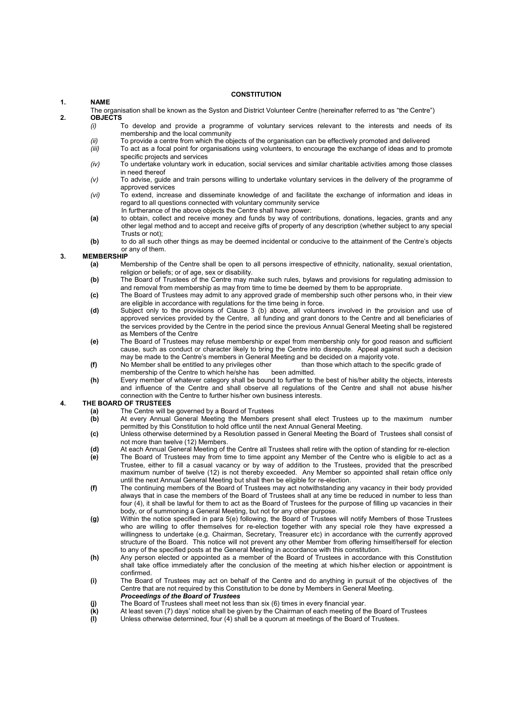# 1. NAME

#### **CONSTITUTION**

- The organisation shall be known as the Syston and District Volunteer Centre (hereinafter referred to as "the Centre")
- 2. **OBJECTS** To develop and provide a programme of voluntary services relevant to the interests and needs of its membership and the local community
	- (ii) To provide a centre from which the objects of the organisation can be effectively promoted and delivered
	- (iii) To act as a focal point for organisations using volunteers, to encourage the exchange of ideas and to promote specific projects and services
	- $(iv)$  To undertake voluntary work in education, social services and similar charitable activities among those classes in need thereof
	- (v) To advise, guide and train persons willing to undertake voluntary services in the delivery of the programme of approved services
	- (vi) To extend, increase and disseminate knowledge of and facilitate the exchange of information and ideas in regard to all questions connected with voluntary community service
		- In furtherance of the above objects the Centre shall have power:
	- (a) to obtain, collect and receive money and funds by way of contributions, donations, legacies, grants and any other legal method and to accept and receive gifts of property of any description (whether subject to any special Trusts or not);
	- (b) to do all such other things as may be deemed incidental or conducive to the attainment of the Centre's objects or any of them.

## 3. MEMBERSHIP

- (a) Membership of the Centre shall be open to all persons irrespective of ethnicity, nationality, sexual orientation, religion or beliefs; or of age, sex or disability.
- (b) The Board of Trustees of the Centre may make such rules, bylaws and provisions for regulating admission to and removal from membership as may from time to time be deemed by them to be appropriate.
- (c) The Board of Trustees may admit to any approved grade of membership such other persons who, in their view are eligible in accordance with regulations for the time being in force.
- (d) Subject only to the provisions of Clause 3 (b) above, all volunteers involved in the provision and use of approved services provided by the Centre, all funding and grant donors to the Centre and all beneficiaries of the services provided by the Centre in the period since the previous Annual General Meeting shall be registered as Members of the Centre
- (e) The Board of Trustees may refuse membership or expel from membership only for good reason and sufficient cause, such as conduct or character likely to bring the Centre into disrepute. Appeal against such a decision
- may be made to the Centre's members in General Meeting and be decided on a majority vote.<br>No Member shall be entitled to any privileges other than those which attach to the specific grade of (f) No Member shall be entitled to any privileges other  $\overline{\phantom{a}}$  than membership of the Centre to which he/she has been admitted.
- membership of the Centre to which he/she has  $(h)$  Every member of whatever category shall be be Every member of whatever category shall be bound to further to the best of his/her ability the objects, interests and influence of the Centre and shall observe all regulations of the Centre and shall not abuse his/her connection with the Centre to further his/her own business interests.

## 4. THE BOARD OF TRUSTEES

- (a) The Centre will be governed by a Board of Trustees<br>(b) At every Annual General Meeting the Members p
- At every Annual General Meeting the Members present shall elect Trustees up to the maximum number permitted by this Constitution to hold office until the next Annual General Meeting.
- (c) Unless otherwise determined by a Resolution passed in General Meeting the Board of Trustees shall consist of not more than twelve (12) Members.
- (d) At each Annual General Meeting of the Centre all Trustees shall retire with the option of standing for re-election
- (e) The Board of Trustees may from time to time appoint any Member of the Centre who is eligible to act as a Trustee, either to fill a casual vacancy or by way of addition to the Trustees, provided that the prescribed maximum number of twelve (12) is not thereby exceeded. Any Member so appointed shall retain office only until the next Annual General Meeting but shall then be eligible for re-election.
- (f) The continuing members of the Board of Trustees may act notwithstanding any vacancy in their body provided always that in case the members of the Board of Trustees shall at any time be reduced in number to less than four (4), it shall be lawful for them to act as the Board of Trustees for the purpose of filling up vacancies in their body, or of summoning a General Meeting, but not for any other purpose.
- (g) Within the notice specified in para 5(e) following, the Board of Trustees will notify Members of those Trustees who are willing to offer themselves for re-election together with any special role they have expressed a willingness to undertake (e.g. Chairman, Secretary, Treasurer etc) in accordance with the currently approved structure of the Board. This notice will not prevent any other Member from offering himself/herself for election to any of the specified posts at the General Meeting in accordance with this constitution.
- (h) Any person elected or appointed as a member of the Board of Trustees in accordance with this Constitution shall take office immediately after the conclusion of the meeting at which his/her election or appointment is confirmed.
- (i) The Board of Trustees may act on behalf of the Centre and do anything in pursuit of the objectives of the Centre that are not required by this Constitution to be done by Members in General Meeting. Proceedings of the Board of Trustees
- 
- (j) The Board of Trustees shall meet not less than six (6) times in every financial year.<br>(k) At least seven (7) days' notice shall be given by the Chairman of each meeting of the At least seven (7) days' notice shall be given by the Chairman of each meeting of the Board of Trustees
- (l) Unless otherwise determined, four (4) shall be a quorum at meetings of the Board of Trustees.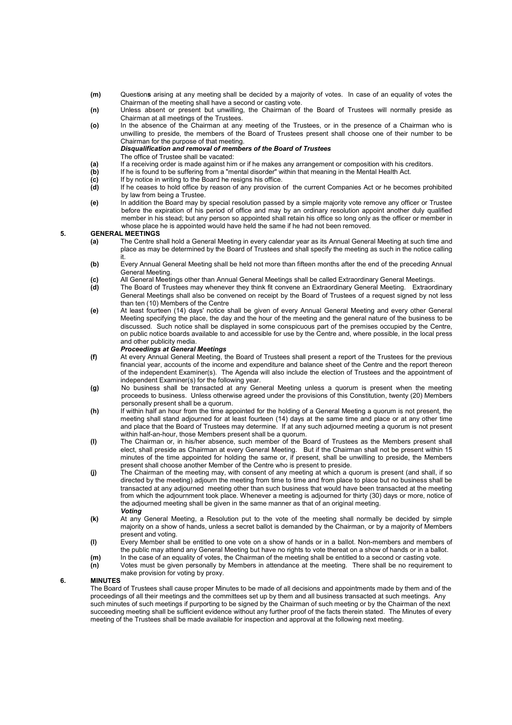- (m) Questions arising at any meeting shall be decided by a majority of votes. In case of an equality of votes the Chairman of the meeting shall have a second or casting vote.
- (n) Unless absent or present but unwilling, the Chairman of the Board of Trustees will normally preside as Chairman at all meetings of the Trustees.
	- (o) In the absence of the Chairman at any meeting of the Trustees, or in the presence of a Chairman who is unwilling to preside, the members of the Board of Trustees present shall choose one of their number to be Chairman for the purpose of that meeting. Disqualification and removal of members of the Board of Trustees
		-
	- The office of Trustee shall be vacated:<br>(a) If a receiving order is made against hin (a) If a receiving order is made against him or if he makes any arrangement or composition with his creditors.<br>(b) If he is found to be suffering from a "mental disorder" within that meaning in the Mental Health Act.
	- If he is found to be suffering from a "mental disorder" within that meaning in the Mental Health Act.
	- (c) If by notice in writing to the Board he resigns his office.<br>
	(d) If he ceases to hold office by reason of any provision
	- If he ceases to hold office by reason of any provision of the current Companies Act or he becomes prohibited by law from being a Trustee.
	- (e) In addition the Board may by special resolution passed by a simple majority vote remove any officer or Trustee before the expiration of his period of office and may by an ordinary resolution appoint another duly qualified member in his stead; but any person so appointed shall retain his office so long only as the officer or member in whose place he is appointed would have held the same if he had not been removed.

#### 5. GENERAL MEETINGS

- (a) The Centre shall hold a General Meeting in every calendar year as its Annual General Meeting at such time and place as may be determined by the Board of Trustees and shall specify the meeting as such in the notice calling it.
- (b) Every Annual General Meeting shall be held not more than fifteen months after the end of the preceding Annual General Meeting.
	- (c) All General Meetings other than Annual General Meetings shall be called Extraordinary General Meetings.<br>(d) The Board of Trustees may whenever they think fit convene an Extraordinary General Meeting. Extraor
	- The Board of Trustees may whenever they think fit convene an Extraordinary General Meeting. Extraordinary General Meetings shall also be convened on receipt by the Board of Trustees of a request signed by not less than ten (10) Members of the Centre
	- (e) At least fourteen (14) days' notice shall be given of every Annual General Meeting and every other General Meeting specifying the place, the day and the hour of the meeting and the general nature of the business to be discussed. Such notice shall be displayed in some conspicuous part of the premises occupied by the Centre, on public notice boards available to and accessible for use by the Centre and, where possible, in the local press and other publicity media.

# **Proceedings at General Meetings**<br>(f) At every Annual General Meeting, t

- At every Annual General Meeting, the Board of Trustees shall present a report of the Trustees for the previous financial year, accounts of the income and expenditure and balance sheet of the Centre and the report thereon of the independent Examiner(s). The Agenda will also include the election of Trustees and the appointment of independent Examiner(s) for the following year.
- (g) No business shall be transacted at any General Meeting unless a quorum is present when the meeting proceeds to business. Unless otherwise agreed under the provisions of this Constitution, twenty (20) Members personally present shall be a quorum.
- (h) If within half an hour from the time appointed for the holding of a General Meeting a quorum is not present, the meeting shall stand adjourned for at least fourteen (14) days at the same time and place or at any other time and place that the Board of Trustees may determine. If at any such adjourned meeting a quorum is not present within half-an-hour, those Members present shall be a quorum.
	- (I) The Chairman or, in his/her absence, such member of the Board of Trustees as the Members present shall elect, shall preside as Chairman at every General Meeting. But if the Chairman shall not be present within 15 minutes of the time appointed for holding the same or, if present, shall be unwilling to preside, the Members present shall choose another Member of the Centre who is present to preside.
	- (j) The Chairman of the meeting may, with consent of any meeting at which a quorum is present (and shall, if so directed by the meeting) adjourn the meeting from time to time and from place to place but no business shall be transacted at any adjourned meeting other than such business that would have been transacted at the meeting from which the adjournment took place. Whenever a meeting is adjourned for thirty (30) days or more, notice of the adjourned meeting shall be given in the same manner as that of an original meeting. Voting
	- (k) At any General Meeting, a Resolution put to the vote of the meeting shall normally be decided by simple majority on a show of hands, unless a secret ballot is demanded by the Chairman, or by a majority of Members present and voting.
	- (l) Every Member shall be entitled to one vote on a show of hands or in a ballot. Non-members and members of the public may attend any General Meeting but have no rights to vote thereat on a show of hands or in a ballot.
	- (m) In the case of an equality of votes, the Chairman of the meeting shall be entitled to a second or casting vote.
	- (n) Votes must be given personally by Members in attendance at the meeting. There shall be no requirement to make provision for voting by proxy.

# 6. MINUTES

 The Board of Trustees shall cause proper Minutes to be made of all decisions and appointments made by them and of the proceedings of all their meetings and the committees set up by them and all business transacted at such meetings. Any such minutes of such meetings if purporting to be signed by the Chairman of such meeting or by the Chairman of the next succeeding meeting shall be sufficient evidence without any further proof of the facts therein stated. The Minutes of every meeting of the Trustees shall be made available for inspection and approval at the following next meeting.